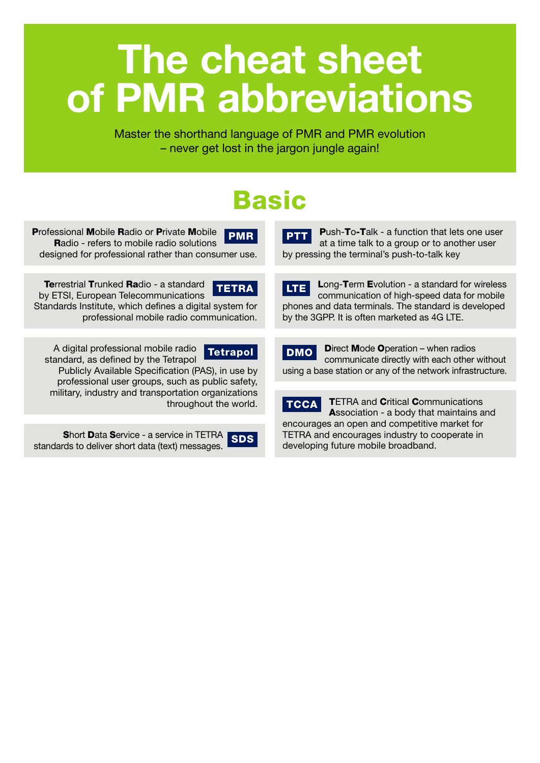# The cheat sheet of PMR abbreviations

Master the shorthand language of PMR and PMR evolution – never get lost in the jargon jungle again!

### Basic

Professional Mobile Radio or Private Mobile Radio - refers to mobile radio solutions designed for professional rather than consumer use. PMR **PMR** PTT

**Terrestrial Trunked Radio - a standard** by ETSI, European Telecommunications Standards Institute, which defines a digital system for professional mobile radio communication. TETRA

A digital professional mobile radio standard, as defined by the Tetrapol

Tetrapol

Publicly Available Specification (PAS), in use by professional user groups, such as public safety, military, industry and transportation organizations throughout the world.

Short Data Service - a service in TETRA **Short Data Service - a service in TETRA SDS**<br>standards to deliver short data (text) messages.

Push-To-Talk - a function that lets one user at a time talk to a group or to another user by pressing the terminal's push-to-talk key

Long-Term Evolution - a standard for wireless communication of high-speed data for mobile phones and data terminals. The standard is developed by the 3GPP. It is often marketed as 4G LTE. LTE

Direct Mode Operation – when radios communicate directly with each other without using a base station or any of the network infrastructure. DMO

**TETRA and Critical Communications** Association - a body that maintains and encourages an open and competitive market for TETRA and encourages industry to cooperate in developing future mobile broadband. I TCCA